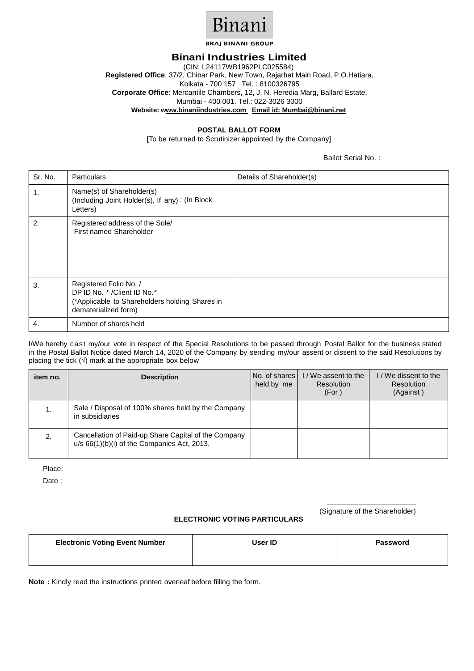

**BRAJ BINANI GROUP** 

## **Binani Industries Limited**

(CIN: L24117WB1962PLC025584) **Registered Office**: 37/2, Chinar Park, New Town, Rajarhat Main Road, P.O.Hatiara, Kolkata - 700 157 Tel. : 8100326795 **Corporate Office**: Mercantile Chambers, 12, J. N. Heredia Marg, Ballard Estate, Mumbai - 400 001. Tel.: 022-3026 3000 **Website: www.binaniindustries.com Email id: Mumbai@binani.net**

## **POSTAL BALLOT FORM**

[To be returned to Scrutinizer appointed by the Company]

Ballot Serial No. :

| Sr. No. | Particulars                                                                                                                       | Details of Shareholder(s) |
|---------|-----------------------------------------------------------------------------------------------------------------------------------|---------------------------|
| 1.      | Name(s) of Shareholder(s)<br>(Including Joint Holder(s), If any): (In Block<br>Letters)                                           |                           |
| 2.      | Registered address of the Sole/<br>First named Shareholder                                                                        |                           |
| 3.      | Registered Folio No. /<br>DP ID No. * / Client ID No. *<br>(*Applicable to Shareholders holding Shares in<br>dematerialized form) |                           |
| 4.      | Number of shares held                                                                                                             |                           |

I/We hereby cast my/our vote in respect of the Special Resolutions to be passed through Postal Ballot for the business stated in the Postal Ballot Notice dated March 14, 2020 of the Company by sending my/our assent or dissent to the said Resolutions by placing the tick  $(\sqrt{})$  mark at the appropriate box below

| item no. | <b>Description</b>                                                                                  | No. of shares<br>held by me | I/We assent to the<br>Resolution<br>(For) | I / We dissent to the<br>Resolution<br>(Against) |
|----------|-----------------------------------------------------------------------------------------------------|-----------------------------|-------------------------------------------|--------------------------------------------------|
|          | Sale / Disposal of 100% shares held by the Company<br>in subsidiaries                               |                             |                                           |                                                  |
| 2.       | Cancellation of Paid-up Share Capital of the Company<br>u/s 66(1)(b)(i) of the Companies Act, 2013. |                             |                                           |                                                  |

Place:

Date :

## **ELECTRONIC VOTING PARTICULARS**

(Signature of the Shareholder)

| <b>Electronic Voting Event Number</b> | User ID | Password |
|---------------------------------------|---------|----------|
|                                       |         |          |

**Note :** Kindly read the instructions printed overleaf before filling the form.